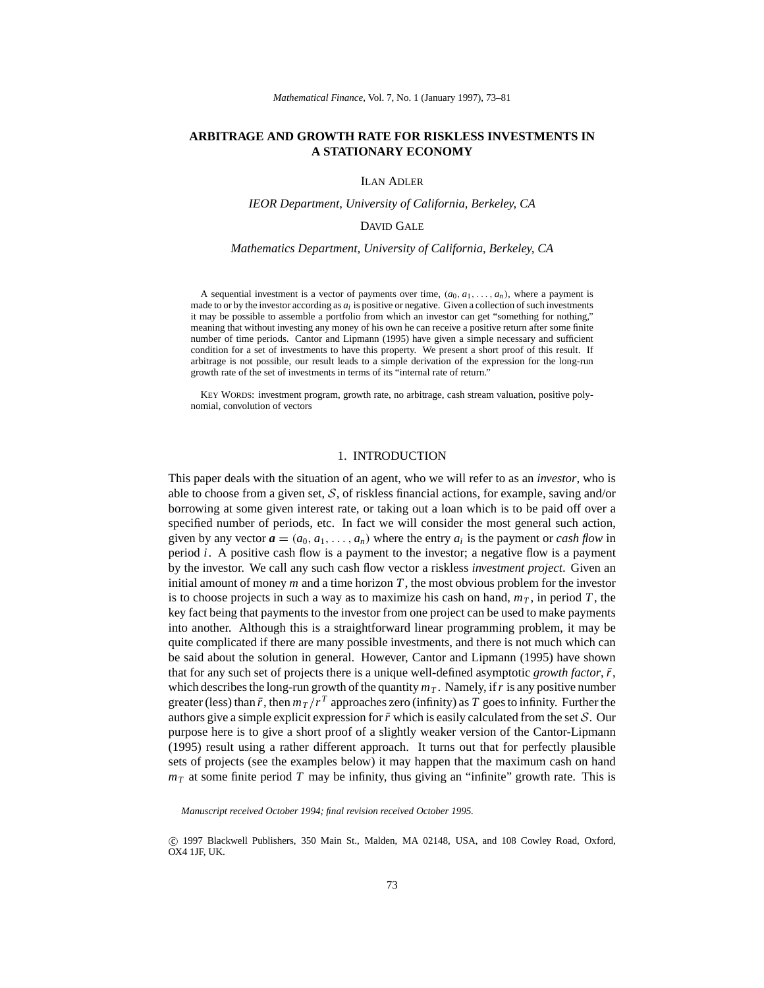# **ARBITRAGE AND GROWTH RATE FOR RISKLESS INVESTMENTS IN A STATIONARY ECONOMY**

#### ILAN ADLER

#### *IEOR Department, University of California, Berkeley, CA*

## DAVID GALE

#### *Mathematics Department, University of California, Berkeley, CA*

A sequential investment is a vector of payments over time,  $(a_0, a_1, \ldots, a_n)$ , where a payment is made to or by the investor according as *ai* is positive or negative. Given a collection of such investments it may be possible to assemble a portfolio from which an investor can get "something for nothing," meaning that without investing any money of his own he can receive a positive return after some finite number of time periods. Cantor and Lipmann (1995) have given a simple necessary and sufficient condition for a set of investments to have this property. We present a short proof of this result. If arbitrage is not possible, our result leads to a simple derivation of the expression for the long-run growth rate of the set of investments in terms of its "internal rate of return."

KEY WORDS: investment program, growth rate, no arbitrage, cash stream valuation, positive polynomial, convolution of vectors

### 1. INTRODUCTION

This paper deals with the situation of an agent, who we will refer to as an *investor*, who is able to choose from a given set, *S*, of riskless financial actions, for example, saving and/or borrowing at some given interest rate, or taking out a loan which is to be paid off over a specified number of periods, etc. In fact we will consider the most general such action, given by any vector  $\mathbf{a} = (a_0, a_1, \dots, a_n)$  where the entry  $a_i$  is the payment or *cash flow* in period  $i$ . A positive cash flow is a payment to the investor; a negative flow is a payment by the investor. We call any such cash flow vector a riskless *investment project*. Given an initial amount of money  $m$  and a time horizon  $T$ , the most obvious problem for the investor is to choose projects in such a way as to maximize his cash on hand,  $m<sub>T</sub>$ , in period *T*, the key fact being that payments to the investor from one project can be used to make payments into another. Although this is a straightforward linear programming problem, it may be quite complicated if there are many possible investments, and there is not much which can be said about the solution in general. However, Cantor and Lipmann (1995) have shown that for any such set of projects there is a unique well-defined asymptotic *growth factor*,  $\bar{r}$ , which describes the long-run growth of the quantity  $m<sub>T</sub>$ . Namely, if r is any positive number greater (less) than  $\bar{r}$ , then  $m_T/r^T$  approaches zero (infinity) as T goes to infinity. Further the authors give a simple explicit expression for  $\bar{r}$  which is easily calculated from the set  $\mathcal{S}$ . Our purpose here is to give a short proof of a slightly weaker version of the Cantor-Lipmann (1995) result using a rather different approach. It turns out that for perfectly plausible sets of projects (see the examples below) it may happen that the maximum cash on hand  $m<sub>T</sub>$  at some finite period *T* may be infinity, thus giving an "infinite" growth rate. This is

*Manuscript received October 1994; final revision received October 1995.*

<sup>°</sup>c 1997 Blackwell Publishers, 350 Main St., Malden, MA 02148, USA, and 108 Cowley Road, Oxford, OX4 1JF, UK.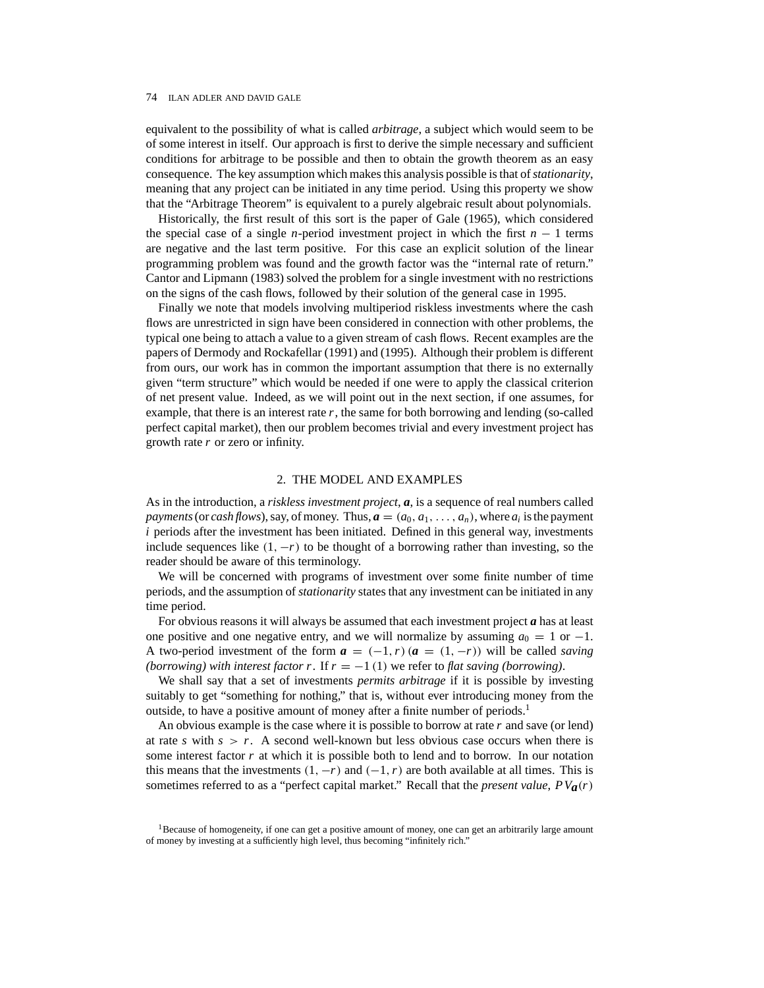equivalent to the possibility of what is called *arbitrage*, a subject which would seem to be of some interest in itself. Our approach is first to derive the simple necessary and sufficient conditions for arbitrage to be possible and then to obtain the growth theorem as an easy consequence. The key assumption which makes this analysis possible is that of*stationarity*, meaning that any project can be initiated in any time period. Using this property we show that the "Arbitrage Theorem" is equivalent to a purely algebraic result about polynomials.

Historically, the first result of this sort is the paper of Gale (1965), which considered the special case of a single *n*-period investment project in which the first  $n - 1$  terms are negative and the last term positive. For this case an explicit solution of the linear programming problem was found and the growth factor was the "internal rate of return." Cantor and Lipmann (1983) solved the problem for a single investment with no restrictions on the signs of the cash flows, followed by their solution of the general case in 1995.

Finally we note that models involving multiperiod riskless investments where the cash flows are unrestricted in sign have been considered in connection with other problems, the typical one being to attach a value to a given stream of cash flows. Recent examples are the papers of Dermody and Rockafellar (1991) and (1995). Although their problem is different from ours, our work has in common the important assumption that there is no externally given "term structure" which would be needed if one were to apply the classical criterion of net present value. Indeed, as we will point out in the next section, if one assumes, for example, that there is an interest rate  $r$ , the same for both borrowing and lending (so-called perfect capital market), then our problem becomes trivial and every investment project has growth rate *r* or zero or infinity.

### 2. THE MODEL AND EXAMPLES

As in the introduction, a *riskless investment project*, *a*, is a sequence of real numbers called *payments* (or *cash flows*), say, of money. Thus,  $\boldsymbol{a} = (a_0, a_1, \ldots, a_n)$ , where  $a_i$  is the payment *i* periods after the investment has been initiated. Defined in this general way, investments include sequences like  $(1, -r)$  to be thought of a borrowing rather than investing, so the reader should be aware of this terminology.

We will be concerned with programs of investment over some finite number of time periods, and the assumption of *stationarity* states that any investment can be initiated in any time period.

For obvious reasons it will always be assumed that each investment project *a* has at least one positive and one negative entry, and we will normalize by assuming  $a_0 = 1$  or  $-1$ . A two-period investment of the form  $a = (-1, r) (a = (1, -r))$  will be called *saving (borrowing) with interest factor r.* If  $r = -1$  (1) we refer to *flat saving (borrowing)*.

We shall say that a set of investments *permits arbitrage* if it is possible by investing suitably to get "something for nothing," that is, without ever introducing money from the outside, to have a positive amount of money after a finite number of periods.<sup>1</sup>

An obvious example is the case where it is possible to borrow at rate *r* and save (or lend) at rate *s* with  $s > r$ . A second well-known but less obvious case occurs when there is some interest factor *r* at which it is possible both to lend and to borrow. In our notation this means that the investments  $(1, -r)$  and  $(-1, r)$  are both available at all times. This is sometimes referred to as a "perfect capital market." Recall that the *present value*, *PVa(r)*

<sup>&</sup>lt;sup>1</sup>Because of homogeneity, if one can get a positive amount of money, one can get an arbitrarily large amount of money by investing at a sufficiently high level, thus becoming "infinitely rich."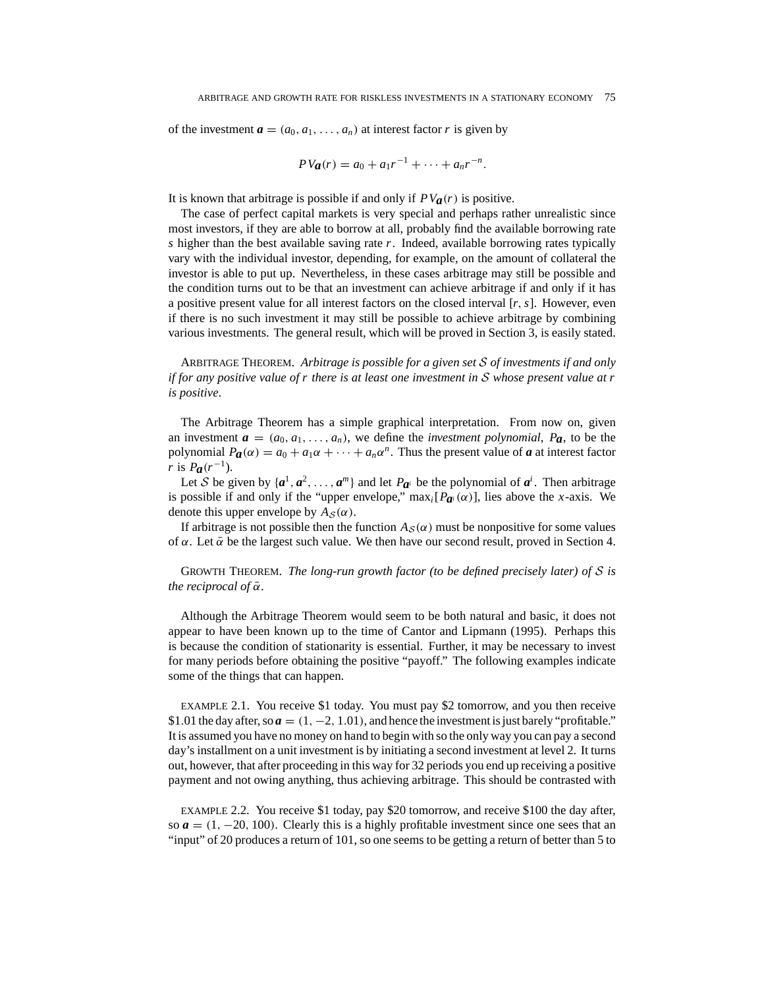of the investment  $\mathbf{a} = (a_0, a_1, \dots, a_n)$  at interest factor *r* is given by

$$
PV_{\boldsymbol{a}}(r) = a_0 + a_1r^{-1} + \cdots + a_nr^{-n}.
$$

It is known that arbitrage is possible if and only if  $PV_{a}(r)$  is positive.

The case of perfect capital markets is very special and perhaps rather unrealistic since most investors, if they are able to borrow at all, probably find the available borrowing rate *s* higher than the best available saving rate *r*. Indeed, available borrowing rates typically vary with the individual investor, depending, for example, on the amount of collateral the investor is able to put up. Nevertheless, in these cases arbitrage may still be possible and the condition turns out to be that an investment can achieve arbitrage if and only if it has a positive present value for all interest factors on the closed interval [*r,s*]. However, even if there is no such investment it may still be possible to achieve arbitrage by combining various investments. The general result, which will be proved in Section 3, is easily stated.

ARBITRAGE THEOREM. *Arbitrage is possible for a given set S of investments if and only if for any positive value of r there is at least one investment in S whose present value at r is positive*.

The Arbitrage Theorem has a simple graphical interpretation. From now on, given an investment  $a = (a_0, a_1, \ldots, a_n)$ , we define the *investment polynomial*,  $P_a$ , to be the polynomial  $P_{\boldsymbol{a}}(\alpha) = a_0 + a_1\alpha + \cdots + a_n\alpha^n$ . Thus the present value of  $\boldsymbol{a}$  at interest factor *r* is  $P_a(r^{-1})$ .

Let *S* be given by  $\{a^1, a^2, \ldots, a^m\}$  and let  $P_{a^i}$  be the polynomial of  $a^i$ . Then arbitrage is possible if and only if the "upper envelope,"  $\max_i[P_{\boldsymbol{a}^i}(\alpha)]$ , lies above the *x*-axis. We denote this upper envelope by  $A_S(\alpha)$ .

If arbitrage is not possible then the function  $A_S(\alpha)$  must be nonpositive for some values of  $\alpha$ . Let  $\bar{\alpha}$  be the largest such value. We then have our second result, proved in Section 4.

GROWTH THEOREM. *The long-run growth factor (to be defined precisely later) of S is the reciprocal of*  $\bar{\alpha}$ *.* 

Although the Arbitrage Theorem would seem to be both natural and basic, it does not appear to have been known up to the time of Cantor and Lipmann (1995). Perhaps this is because the condition of stationarity is essential. Further, it may be necessary to invest for many periods before obtaining the positive "payoff." The following examples indicate some of the things that can happen.

EXAMPLE 2.1. You receive \$1 today. You must pay \$2 tomorrow, and you then receive \$1.01 the day after, so  $a = (1, -2, 1.01)$ , and hence the investment is just barely "profitable." It is assumed you have no money on hand to begin with so the only way you can pay a second day's installment on a unit investment is by initiating a second investment at level 2. It turns out, however, that after proceeding in this way for 32 periods you end up receiving a positive payment and not owing anything, thus achieving arbitrage. This should be contrasted with

EXAMPLE 2.2. You receive \$1 today, pay \$20 tomorrow, and receive \$100 the day after, so  $a = (1, -20, 100)$ . Clearly this is a highly profitable investment since one sees that an "input" of 20 produces a return of 101, so one seems to be getting a return of better than 5 to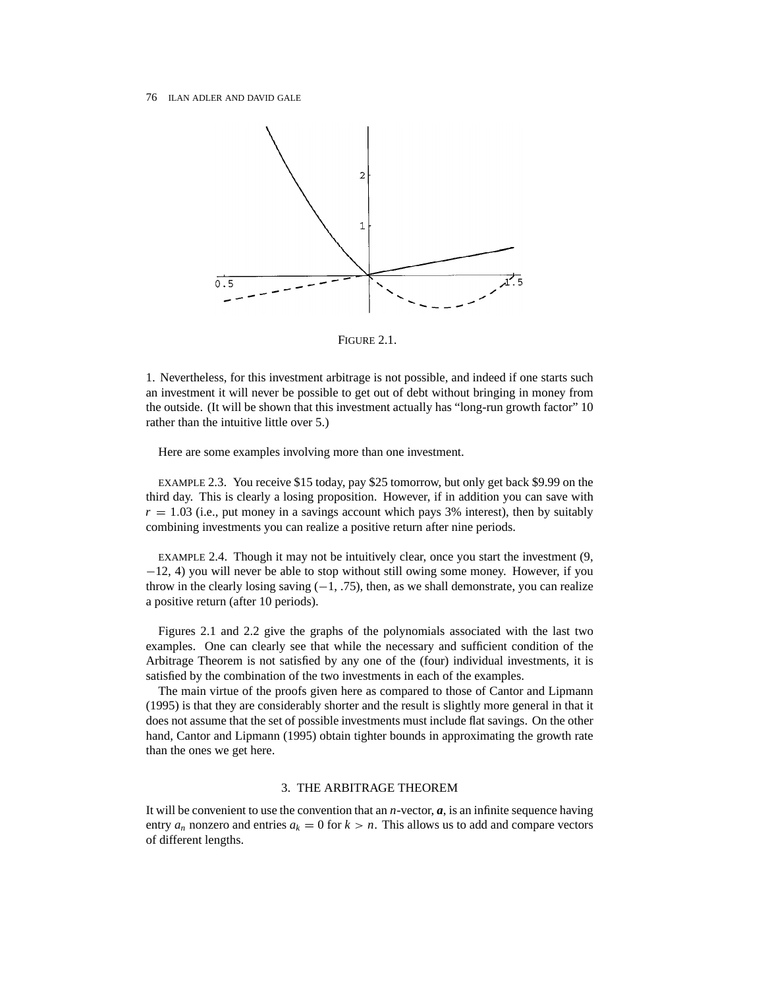

FIGURE 2.1.

1. Nevertheless, for this investment arbitrage is not possible, and indeed if one starts such an investment it will never be possible to get out of debt without bringing in money from the outside. (It will be shown that this investment actually has "long-run growth factor" 10 rather than the intuitive little over 5.)

Here are some examples involving more than one investment.

EXAMPLE 2.3. You receive \$15 today, pay \$25 tomorrow, but only get back \$9.99 on the third day. This is clearly a losing proposition. However, if in addition you can save with  $r = 1.03$  (i.e., put money in a savings account which pays 3% interest), then by suitably combining investments you can realize a positive return after nine periods.

EXAMPLE 2.4. Though it may not be intuitively clear, once you start the investment (9, −12, 4) you will never be able to stop without still owing some money. However, if you throw in the clearly losing saving  $(-1, .75)$ , then, as we shall demonstrate, you can realize a positive return (after 10 periods).

Figures 2.1 and 2.2 give the graphs of the polynomials associated with the last two examples. One can clearly see that while the necessary and sufficient condition of the Arbitrage Theorem is not satisfied by any one of the (four) individual investments, it is satisfied by the combination of the two investments in each of the examples.

The main virtue of the proofs given here as compared to those of Cantor and Lipmann (1995) is that they are considerably shorter and the result is slightly more general in that it does not assume that the set of possible investments must include flat savings. On the other hand, Cantor and Lipmann (1995) obtain tighter bounds in approximating the growth rate than the ones we get here.

# 3. THE ARBITRAGE THEOREM

It will be convenient to use the convention that an *n*-vector,  $\boldsymbol{a}$ , is an infinite sequence having entry  $a_n$  nonzero and entries  $a_k = 0$  for  $k > n$ . This allows us to add and compare vectors of different lengths.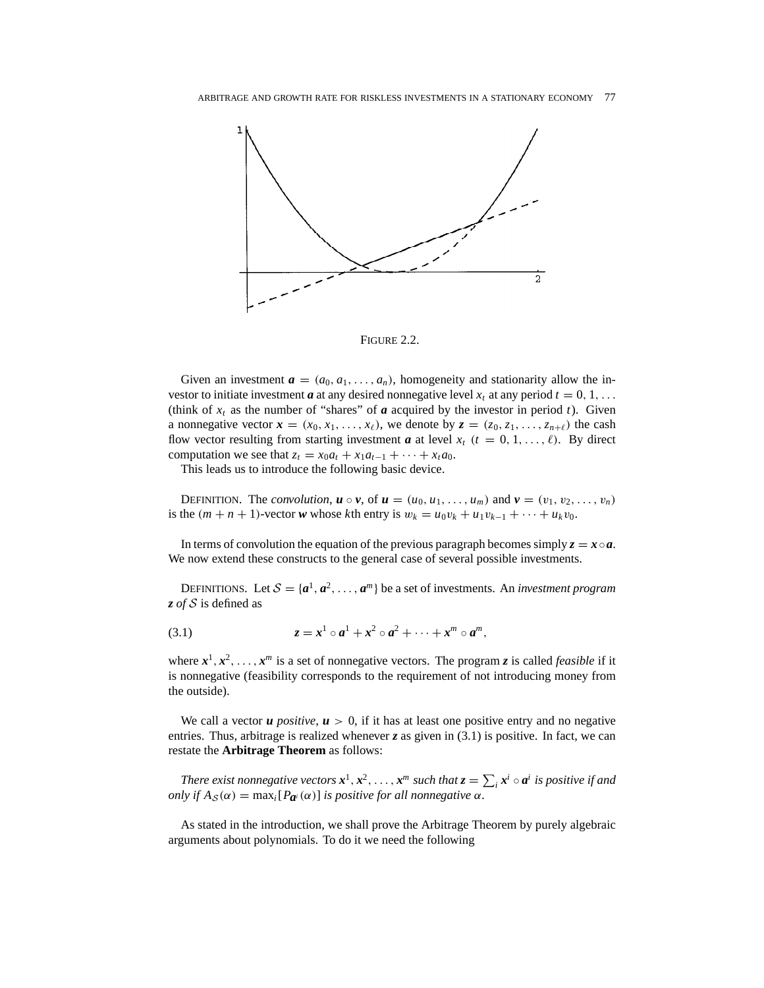

FIGURE 2.2.

Given an investment  $\boldsymbol{a} = (a_0, a_1, \ldots, a_n)$ , homogeneity and stationarity allow the investor to initiate investment *a* at any desired nonnegative level  $x_t$  at any period  $t = 0, 1, \ldots$ (think of  $x_t$  as the number of "shares" of  $\boldsymbol{a}$  acquired by the investor in period  $t$ ). Given a nonnegative vector  $\mathbf{x} = (x_0, x_1, \ldots, x_\ell)$ , we denote by  $\mathbf{z} = (z_0, z_1, \ldots, z_{n+\ell})$  the cash flow vector resulting from starting investment *a* at level  $x_t$  ( $t = 0, 1, \ldots, \ell$ ). By direct computation we see that  $z_t = x_0 a_t + x_1 a_{t-1} + \cdots + x_t a_0$ .

This leads us to introduce the following basic device.

**DEFINITION.** The *convolution*,  $u \circ v$ , of  $u = (u_0, u_1, \ldots, u_m)$  and  $v = (v_1, v_2, \ldots, v_n)$ is the  $(m + n + 1)$ -vector *w* whose *k*th entry is  $w_k = u_0 v_k + u_1 v_{k-1} + \cdots + u_k v_0$ .

In terms of convolution the equation of the previous paragraph becomes simply  $z = x \circ a$ . We now extend these constructs to the general case of several possible investments.

DEFINITIONS. Let  $S = \{a^1, a^2, \ldots, a^m\}$  be a set of investments. An *investment program z of S* is defined as

$$
(3.1) \t\t\t z = x1 \circ a1 + x2 \circ a2 + \cdots + xm \circ am,
$$

where  $x^1, x^2, \ldots, x^m$  is a set of nonnegative vectors. The program *z* is called *feasible* if it is nonnegative (feasibility corresponds to the requirement of not introducing money from the outside).

We call a vector  $u$  *positive*,  $u > 0$ , if it has at least one positive entry and no negative entries. Thus, arbitrage is realized whenever *z* as given in (3.1) is positive. In fact, we can restate the **Arbitrage Theorem** as follows:

*There exist nonnegative vectors*  $x^1, x^2, \ldots, x^m$  *such that*  $z = \sum_i x^i \circ a^i$  *is positive if and only if*  $A_S(\alpha) = \max_i[P_{a^i}(\alpha)]$  *is positive for all nonnegative*  $\alpha$ *.* 

As stated in the introduction, we shall prove the Arbitrage Theorem by purely algebraic arguments about polynomials. To do it we need the following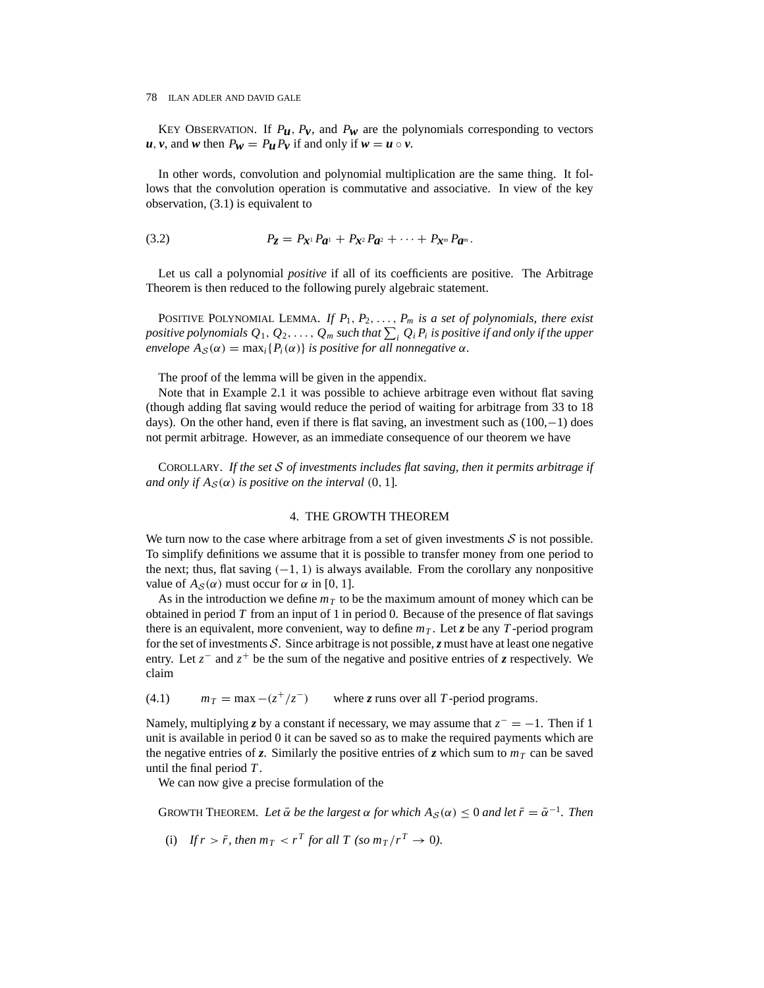KEY OBSERVATION. If  $P_u$ ,  $P_v$ , and  $P_w$  are the polynomials corresponding to vectors *u*, *v*, and *w* then  $P_w = P_u P_v$  if and only if  $w = u \circ v$ .

In other words, convolution and polynomial multiplication are the same thing. It follows that the convolution operation is commutative and associative. In view of the key observation, (3.1) is equivalent to

(3.2) 
$$
P_{Z} = P_{X^{1}} P_{a^{1}} + P_{X^{2}} P_{a^{2}} + \cdots + P_{X^{m}} P_{a^{m}}.
$$

Let us call a polynomial *positive* if all of its coefficients are positive. The Arbitrage Theorem is then reduced to the following purely algebraic statement.

POSITIVE POLYNOMIAL LEMMA. If  $P_1, P_2, \ldots, P_m$  is a set of polynomials, there exist positive polynomials  $Q_1, Q_2, \ldots, Q_m$  such that  $\sum_i Q_i P_i$  is positive if and only if the upper *envelope*  $A_{\mathcal{S}}(\alpha) = \max_i \{P_i(\alpha)\}\$ is positive for all nonnegative  $\alpha$ *.* 

The proof of the lemma will be given in the appendix.

Note that in Example 2.1 it was possible to achieve arbitrage even without flat saving (though adding flat saving would reduce the period of waiting for arbitrage from 33 to 18 days). On the other hand, even if there is flat saving, an investment such as (100,−1) does not permit arbitrage. However, as an immediate consequence of our theorem we have

COROLLARY. *If the set S of investments includes flat saving, then it permits arbitrage if and only if*  $A_S(\alpha)$  *is positive on the interval* (0, 1].

### 4. THE GROWTH THEOREM

We turn now to the case where arbitrage from a set of given investments  $S$  is not possible. To simplify definitions we assume that it is possible to transfer money from one period to the next; thus, flat saving  $(-1, 1)$  is always available. From the corollary any nonpositive value of  $A_S(\alpha)$  must occur for  $\alpha$  in [0, 1].

As in the introduction we define  $m<sub>T</sub>$  to be the maximum amount of money which can be obtained in period *T* from an input of 1 in period 0. Because of the presence of flat savings there is an equivalent, more convenient, way to define  $m<sub>T</sub>$ . Let *z* be any *T*-period program for the set of investments *S*. Since arbitrage is not possible,  $\zeta$  must have at least one negative entry. Let *z*<sup>−</sup> and *z*<sup>+</sup> be the sum of the negative and positive entries of *z* respectively. We claim

 $m_T = \max - (z^+/z^-)$  where *z* runs over all *T*-period programs.

Namely, multiplying *z* by a constant if necessary, we may assume that *z*<sup>−</sup> = −1. Then if 1 unit is available in period 0 it can be saved so as to make the required payments which are the negative entries of *z*. Similarly the positive entries of *z* which sum to  $m<sub>T</sub>$  can be saved until the final period *T* .

We can now give a precise formulation of the

GROWTH THEOREM. Let  $\bar{\alpha}$  be the largest  $\alpha$  for which  $A_{\mathcal{S}}(\alpha) \leq 0$  and let  $\bar{r} = \bar{\alpha}^{-1}$ . Then

(i) If  $r > \bar{r}$ , then  $m_T < r^T$  for all T (so  $m_T/r^T \to 0$ ).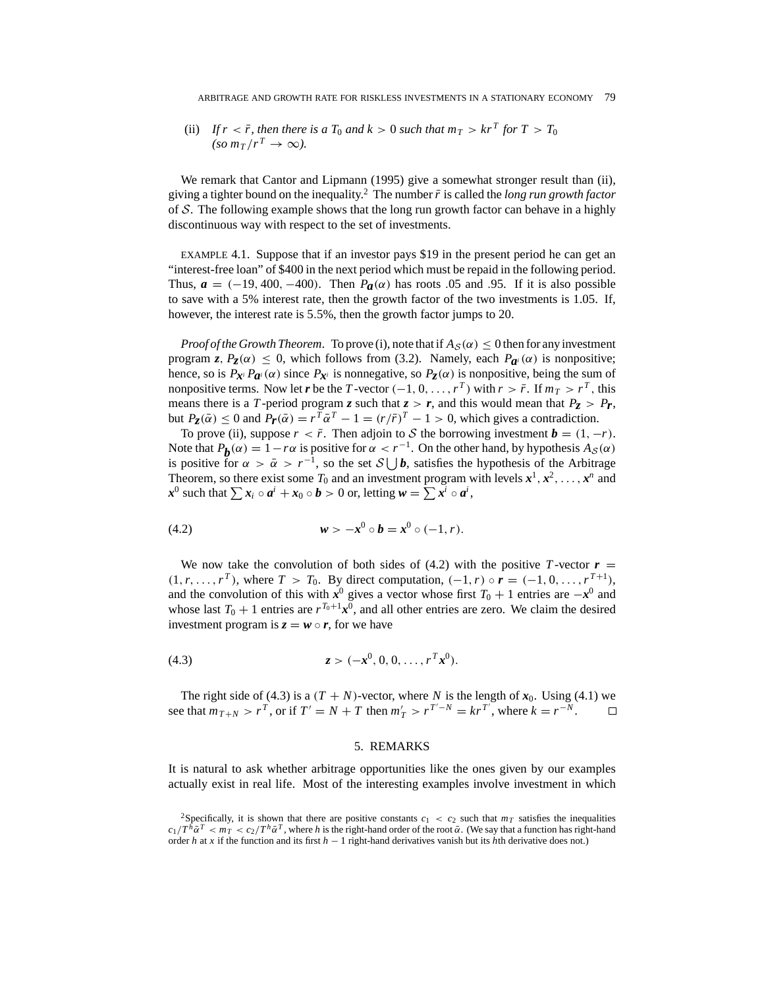(ii) If  $r < \bar{r}$ , then there is a  $T_0$  and  $k > 0$  such that  $m_T > kr^T$  for  $T > T_0$  $(\text{so } m_T/r^T \rightarrow \infty).$ 

We remark that Cantor and Lipmann (1995) give a somewhat stronger result than (ii), giving a tighter bound on the inequality.<sup>2</sup> The number  $\bar{r}$  is called the *long run growth factor* of *S*. The following example shows that the long run growth factor can behave in a highly discontinuous way with respect to the set of investments.

EXAMPLE 4.1. Suppose that if an investor pays \$19 in the present period he can get an "interest-free loan" of \$400 in the next period which must be repaid in the following period. Thus,  $a = (-19, 400, -400)$ . Then  $P_a(\alpha)$  has roots 0.05 and 0.95. If it is also possible to save with a 5% interest rate, then the growth factor of the two investments is 1.05. If, however, the interest rate is 5*.*5%, then the growth factor jumps to 20.

*Proof of the Growth Theorem.* To prove (i), note that if  $A_S(\alpha) \leq 0$  then for any investment program *z*,  $P_z(\alpha) \leq 0$ , which follows from (3.2). Namely, each  $P_{\alpha}(\alpha)$  is nonpositive; hence, so is  $P_{\mathbf{x}^i} P_{\mathbf{a}^i}(\alpha)$  since  $P_{\mathbf{x}^i}$  is nonnegative, so  $P_{\mathbf{z}}(\alpha)$  is nonpositive, being the sum of nonpositive terms. Now let *r* be the *T* -vector  $(-1, 0, \ldots, r^T)$  with  $r > \bar{r}$ . If  $m_T > r^T$ , this means there is a *T*-period program *z* such that  $z > r$ , and this would mean that  $P_z > P_r$ , but  $P_z(\bar{\alpha}) \leq 0$  and  $P_r(\bar{\alpha}) = r^T \bar{\alpha}^T - 1 = (r/\bar{r})^T - 1 > 0$ , which gives a contradiction.

To prove (ii), suppose  $r < \bar{r}$ . Then adjoin to *S* the borrowing investment  $\boldsymbol{b} = (1, -r)$ . Note that  $P_b(\alpha) = 1 - r\alpha$  is positive for  $\alpha < r^{-1}$ . On the other hand, by hypothesis  $A_s(\alpha)$ is positive for  $\alpha > \bar{\alpha} > r^{-1}$ , so the set  $S \cup b$ , satisfies the hypothesis of the Arbitrage Theorem, so there exist some  $T_0$  and an investment program with levels  $x^1, x^2, \ldots, x^n$  and  $x^0$  such that  $\sum x_i \circ a^i + x_0 \circ b > 0$  or, letting  $w = \sum x^i \circ a^i$ ,

(4.2) 
$$
w > -x^0 \circ b = x^0 \circ (-1, r).
$$

We now take the convolution of both sides of  $(4.2)$  with the positive *T*-vector  $\boldsymbol{r} =$  $(1, r, ..., r^T)$ , where  $T > T_0$ . By direct computation,  $(-1, r) \circ r = (-1, 0, ..., r^{T+1})$ , and the convolution of this with  $x^0$  gives a vector whose first  $T_0 + 1$  entries are  $-x^0$  and whose last  $T_0 + 1$  entries are  $r^{T_0+1}x^0$ , and all other entries are zero. We claim the desired investment program is  $z = w \circ r$ , for we have

(4.3) 
$$
z > (-x^0, 0, 0, \ldots, r^T x^0).
$$

The right side of (4.3) is a  $(T + N)$ -vector, where *N* is the length of  $x_0$ . Using (4.1) we see that  $m_{T+N} > r^T$ , or if  $T' = N + T$  then  $m'_T > r^{T'-N} = kr^{T'}$ , where  $k = r^{-N}$ .  $\Box$ 

#### 5. REMARKS

It is natural to ask whether arbitrage opportunities like the ones given by our examples actually exist in real life. Most of the interesting examples involve investment in which

<sup>&</sup>lt;sup>2</sup>Specifically, it is shown that there are positive constants  $c_1 < c_2$  such that  $m<sub>T</sub>$  satisfies the inequalities  $c_1/T^h\bar{\alpha}^T < m_T < c_2/T^h\bar{\alpha}^T$ , where h is the right-hand order of the root  $\bar{\alpha}$ . (We say that a function has right-hand order *h* at *x* if the function and its first *h* − 1 right-hand derivatives vanish but its *h*th derivative does not.)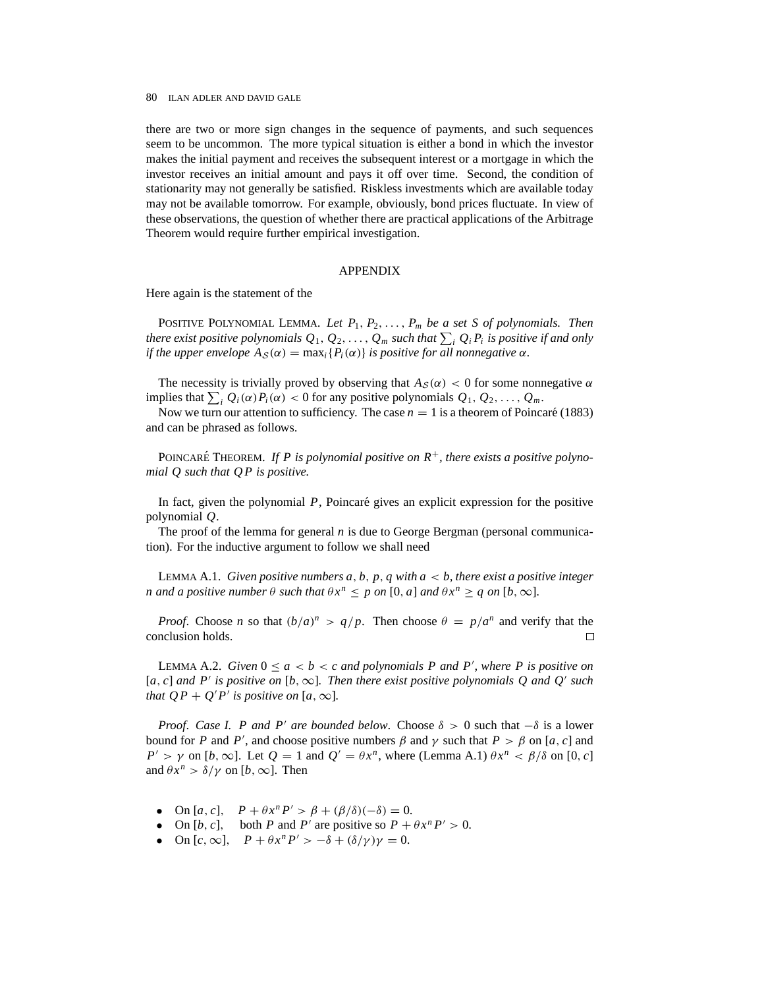there are two or more sign changes in the sequence of payments, and such sequences seem to be uncommon. The more typical situation is either a bond in which the investor makes the initial payment and receives the subsequent interest or a mortgage in which the investor receives an initial amount and pays it off over time. Second, the condition of stationarity may not generally be satisfied. Riskless investments which are available today may not be available tomorrow. For example, obviously, bond prices fluctuate. In view of these observations, the question of whether there are practical applications of the Arbitrage Theorem would require further empirical investigation.

## APPENDIX

Here again is the statement of the

POSITIVE POLYNOMIAL LEMMA. Let  $P_1, P_2, \ldots, P_m$  be a set S of polynomials. Then *there exist positive polynomials*  $Q_1, Q_2, \ldots, Q_m$  *such that*  $\sum_i Q_i P_i$  *is positive if and only if the upper envelope*  $A_S(\alpha) = \max_i \{P_i(\alpha)\}\$  *is positive for all nonnegative*  $\alpha$ *.* 

The necessity is trivially proved by observing that  $A_S(\alpha) < 0$  for some nonnegative  $\alpha$ implies that  $\sum_{i} Q_i(\alpha) P_i(\alpha) < 0$  for any positive polynomials  $Q_1, Q_2, \ldots, Q_m$ .

Now we turn our attention to sufficiency. The case  $n = 1$  is a theorem of Poincaré (1883) and can be phrased as follows.

POINCARÉ THEOREM. If P is polynomial positive on  $R^+$ *, there exists a positive polynomial Q such that Q P is positive.*

In fact, given the polynomial *P*, Poincaré gives an explicit expression for the positive polynomial *Q*.

The proof of the lemma for general *n* is due to George Bergman (personal communication). For the inductive argument to follow we shall need

LEMMA A.1. *Given positive numbers*  $a, b, p, q$  *with*  $a < b$ *, there exist a positive integer n* and a positive number  $\theta$  such that  $\theta x^n \leq p$  on  $[0, a]$  and  $\theta x^n \geq q$  on  $[b, \infty]$ .

*Proof.* Choose *n* so that  $(b/a)^n > q/p$ . Then choose  $\theta = p/a^n$  and verify that the conclusion holds. 口

LEMMA A.2. *Given*  $0 \le a < b < c$  *and polynomials P and P'*, *where P is positive on*  $[a, c]$  *and P' is positive on*  $[b, \infty]$ *. Then there exist positive polynomials Q and Q' such that*  $QP + Q'P'$  *is positive on* [*a,*  $\infty$ ].

*Proof. Case I. P and P' are bounded below.* Choose  $\delta > 0$  such that  $-\delta$  is a lower bound for *P* and *P'*, and choose positive numbers *β* and *γ* such that  $P > β$  on [*a*, *c*] and *P*<sup> $\prime$ </sup> > *γ* on [*b*,  $\infty$ ]. Let  $Q = 1$  and  $Q' = \theta x^n$ , where (Lemma A.1)  $\theta x^n < \beta/\delta$  on [0, *c*] and  $\theta x^n > \delta/\gamma$  on [*b*, ∞]. Then

- $\text{On } [a, c], \quad P + \theta x^n P' > \beta + (\beta/\delta)(-\delta) = 0.$
- $\text{On } [b, c], \text{ both } P \text{ and } P' \text{ are positive so } P + \theta x^n P' > 0.$
- On  $[c, \infty]$ ,  $P + \theta x^n P' > -\delta + (\delta/\gamma)\gamma = 0$ .